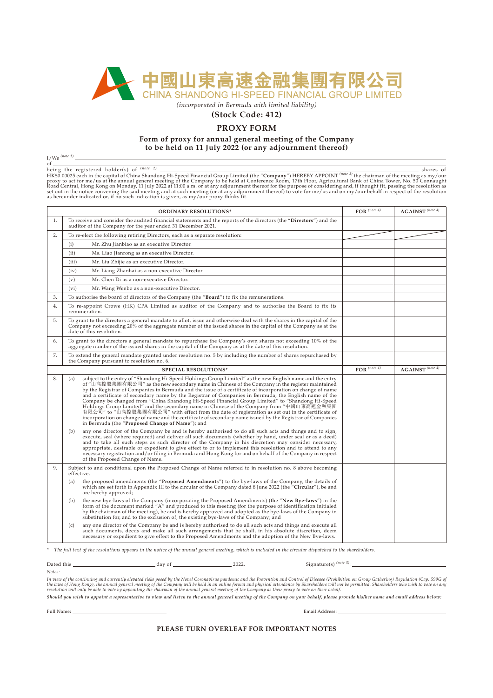

*(incorporated in Bermuda with limited liability)*

## **(Stock Code: 412)**

## **PROXY FORM**

**Form of proxy for annual general meeting of the Company to be held on 11 July 2022 (or any adjournment thereof)**

 $I/We^{(note 1)}$ .

of sing the registered holder(s) of <sup>(note 2)</sup><br>being the registered holder(s) of <sup>(note 2)</sup><br>HK\$0.00025 each in the capital of China Shandong Hi-Speed Financial Group Limited (the "**Company**") HEREBY APPOINT <sup>(note 3)</sup> the

| <b>ORDINARY RESOLUTIONS*</b> |                                                                                                                                                                                                                                                                                                                                                                                                                                                                                                                                                                                                                                                                                                                                                                                                                                                                                                               | $FOR$ (note 4) | <b>AGAINST</b> (note 4)       |  |
|------------------------------|---------------------------------------------------------------------------------------------------------------------------------------------------------------------------------------------------------------------------------------------------------------------------------------------------------------------------------------------------------------------------------------------------------------------------------------------------------------------------------------------------------------------------------------------------------------------------------------------------------------------------------------------------------------------------------------------------------------------------------------------------------------------------------------------------------------------------------------------------------------------------------------------------------------|----------------|-------------------------------|--|
| 1.                           | To receive and consider the audited financial statements and the reports of the directors (the "Directors") and the<br>auditor of the Company for the year ended 31 December 2021.                                                                                                                                                                                                                                                                                                                                                                                                                                                                                                                                                                                                                                                                                                                            |                |                               |  |
| 2.                           | To re-elect the following retiring Directors, each as a separate resolution:                                                                                                                                                                                                                                                                                                                                                                                                                                                                                                                                                                                                                                                                                                                                                                                                                                  |                |                               |  |
|                              | (i)<br>Mr. Zhu Jianbiao as an executive Director.                                                                                                                                                                                                                                                                                                                                                                                                                                                                                                                                                                                                                                                                                                                                                                                                                                                             |                |                               |  |
|                              | (ii)<br>Ms. Liao Jianrong as an executive Director.                                                                                                                                                                                                                                                                                                                                                                                                                                                                                                                                                                                                                                                                                                                                                                                                                                                           |                |                               |  |
|                              | (iii)<br>Mr. Liu Zhijie as an executive Director.                                                                                                                                                                                                                                                                                                                                                                                                                                                                                                                                                                                                                                                                                                                                                                                                                                                             |                |                               |  |
|                              | (iv)<br>Mr. Liang Zhanhai as a non-executive Director.                                                                                                                                                                                                                                                                                                                                                                                                                                                                                                                                                                                                                                                                                                                                                                                                                                                        |                |                               |  |
|                              | (v)<br>Mr. Chen Di as a non-executive Director.                                                                                                                                                                                                                                                                                                                                                                                                                                                                                                                                                                                                                                                                                                                                                                                                                                                               |                |                               |  |
|                              | (vi)<br>Mr. Wang Wenbo as a non-executive Director.                                                                                                                                                                                                                                                                                                                                                                                                                                                                                                                                                                                                                                                                                                                                                                                                                                                           |                |                               |  |
| 3.                           | To authorise the board of directors of the Company (the "Board") to fix the remunerations.                                                                                                                                                                                                                                                                                                                                                                                                                                                                                                                                                                                                                                                                                                                                                                                                                    |                |                               |  |
| 4.                           | To re-appoint Crowe (HK) CPA Limited as auditor of the Company and to authorise the Board to fix its<br>remuneration.                                                                                                                                                                                                                                                                                                                                                                                                                                                                                                                                                                                                                                                                                                                                                                                         |                |                               |  |
| 5.                           | To grant to the directors a general mandate to allot, issue and otherwise deal with the shares in the capital of the<br>Company not exceeding 20% of the aggregate number of the issued shares in the capital of the Company as at the<br>date of this resolution.                                                                                                                                                                                                                                                                                                                                                                                                                                                                                                                                                                                                                                            |                |                               |  |
| 6.                           | To grant to the directors a general mandate to repurchase the Company's own shares not exceeding 10% of the<br>aggregate number of the issued shares in the capital of the Company as at the date of this resolution.                                                                                                                                                                                                                                                                                                                                                                                                                                                                                                                                                                                                                                                                                         |                |                               |  |
| 7.                           | To extend the general mandate granted under resolution no. 5 by including the number of shares repurchased by<br>the Company pursuant to resolution no. 6.                                                                                                                                                                                                                                                                                                                                                                                                                                                                                                                                                                                                                                                                                                                                                    |                |                               |  |
|                              | <b>SPECIAL RESOLUTIONS*</b>                                                                                                                                                                                                                                                                                                                                                                                                                                                                                                                                                                                                                                                                                                                                                                                                                                                                                   | $FOR$ (note 4) | $AGAINST$ <sup>(note 4)</sup> |  |
| 8.                           | subject to the entry of "Shandong Hi-Speed Holdings Group Limited" as the new English name and the entry<br>(a)<br>of "山高控股集團有限公司" as the new secondary name in Chinese of the Company in the register maintained<br>by the Registrar of Companies in Bermuda and the issue of a certificate of incorporation on change of name<br>and a certificate of secondary name by the Registrar of Companies in Bermuda, the English name of the<br>Company be changed from "China Shandong Hi-Speed Financial Group Limited" to "Shandong Hi-Speed<br>Holdings Group Limited" and the secondary name in Chinese of the Company from "中國山東高速金融集團<br>有限公司" to "山高控股集團有限公司" with effect from the date of registration as set out in the certificate of<br>incorporation on change of name and the certificate of secondary name issued by the Registrar of Companies<br>in Bermuda (the "Proposed Change of Name"); and |                |                               |  |
|                              | any one director of the Company be and is hereby authorised to do all such acts and things and to sign,<br>(b)<br>execute, seal (where required) and deliver all such documents (whether by hand, under seal or as a deed)<br>and to take all such steps as such director of the Company in his discretion may consider necessary,<br>appropriate, desirable or expedient to give effect to or to implement this resolution and to attend to any<br>necessary registration and/or filing in Bermuda and Hong Kong for and on behalf of the Company in respect<br>of the Proposed Change of Name.                                                                                                                                                                                                                                                                                                              |                |                               |  |
| 9.                           | Subject to and conditional upon the Proposed Change of Name referred to in resolution no. 8 above becoming<br>effective,                                                                                                                                                                                                                                                                                                                                                                                                                                                                                                                                                                                                                                                                                                                                                                                      |                |                               |  |
|                              | the proposed amendments (the "Proposed Amendments") to the bye-laws of the Company, the details of<br>(a)<br>which are set forth in Appendix III to the circular of the Company dated 8 June 2022 (the "Circular"), be and<br>are hereby approved;                                                                                                                                                                                                                                                                                                                                                                                                                                                                                                                                                                                                                                                            |                |                               |  |
|                              | the new bye-laws of the Company (incorporating the Proposed Amendments) (the "New Bye-laws") in the<br>(b)<br>form of the document marked "A" and produced to this meeting (for the purpose of identification initialed<br>by the chairman of the meeting), be and is hereby approved and adopted as the bye-laws of the Company in<br>substitution for, and to the exclusion of, the existing bye-laws of the Company; and                                                                                                                                                                                                                                                                                                                                                                                                                                                                                   |                |                               |  |
|                              | any one director of the Company be and is hereby authorised to do all such acts and things and execute all<br>(c)<br>such documents, deeds and make all such arrangements that he shall, in his absolute discretion, deem<br>necessary or expedient to give effect to the Proposed Amendments and the adoption of the New Bye-laws.                                                                                                                                                                                                                                                                                                                                                                                                                                                                                                                                                                           |                |                               |  |
|                              | The full text of the resolutions annears in the notice of the annual general meeting, which is included in the circular dispatched to the shareholders                                                                                                                                                                                                                                                                                                                                                                                                                                                                                                                                                                                                                                                                                                                                                        |                |                               |  |

*\* The full text of the resolutions appears in the notice of the annual general meeting, which is included in the circular dispatched to the shareholders.*

Dated this  $\frac{1}{2}$  day of  $\frac{1}{2}$  2022. Signature(s)  $\frac{(node 5)}{2}$ .

*Notes:*

In view of the continuing and currently elevated risks posed by the Novel Coronavirus pandemic and the Prevention and Control of Disease (Prohibition on Group Gathering) Regulation (Cap. 599G of<br>the laws of Hong Kong), the

*Should you wish to appoint a representative to view and listen to the annual general meeting of the Company on your behalf, please provide his/her name and email address below:*

Full Name: Email Address: